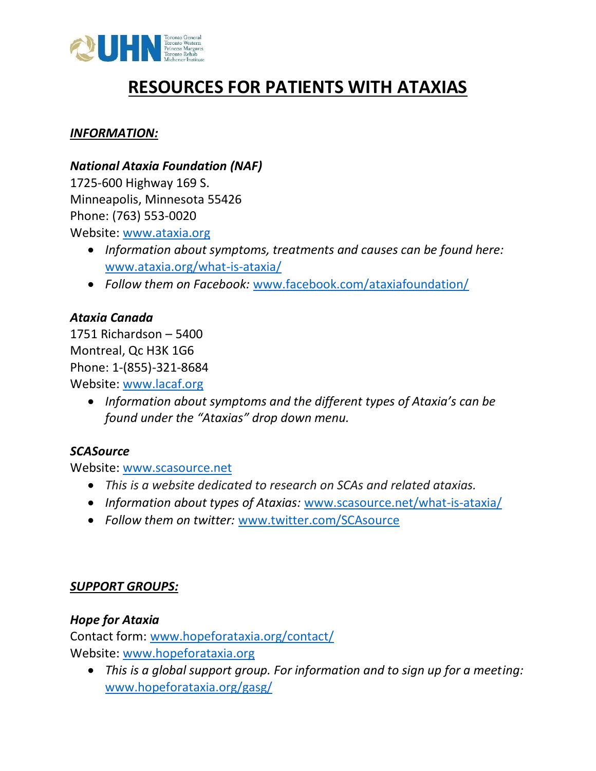

# **RESOURCES FOR PATIENTS WITH ATAXIAS**

#### *INFORMATION:*

#### *National Ataxia Foundation (NAF)*

1725-600 Highway 169 S. Minneapolis, Minnesota 55426 Phone: (763) 553-0020 Website: [www.ataxia.org](http://www.ataxia.org/)

• *Information about symptoms, treatments and causes can be found here:*  [www.ataxia.org/what-is-ataxia/](http://www.ataxia.org/what-is-ataxia/)

• *Follow them on Facebook:* [www.facebook.com/ataxiafoundation/](http://www.facebook.com/ataxiafoundation/)

### *Ataxia Canada*

1751 Richardson – 5400 Montreal, Qc H3K 1G6 Phone: 1-(855)-321-8684 Website: [www.lacaf.org](http://www.lacaf.org/)

> • *Information about symptoms and the different types of Ataxia's can be found under the "Ataxias" drop down menu.*

## *SCASource*

Website: [www.scasource.net](http://www.scasource.net/)

- *This is a website dedicated to research on SCAs and related ataxias.*
- *Information about types of Ataxias:* [www.scasource.net/what-is-ataxia/](http://www.scasource.net/what-is-ataxia/)
- *Follow them on twitter:* [www.twitter.com/SCAsource](http://www.twitter.com/SCAsource)

## *SUPPORT GROUPS:*

## *Hope for Ataxia*

Contact form: [www.hopeforataxia.org/contact/](http://www.hopeforataxia.org/contact/) Website: [www.hopeforataxia.org](http://www.hopeforataxia.org/)

• *This is a global support group. For information and to sign up for a meeting:*  [www.hopeforataxia.org/gasg/](http://www.hopeforataxia.org/gasg/)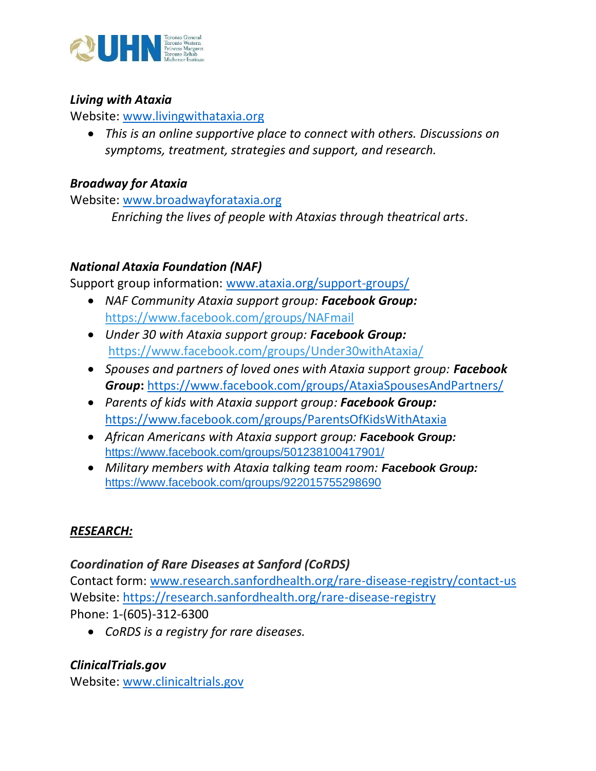

#### *Living with Ataxia*

Website: [www.livingwithataxia.org](http://www.livingwithataxia.org/)

• *This is an online supportive place to connect with others. Discussions on symptoms, treatment, strategies and support, and research.*

### *Broadway for Ataxia*

Website: [www.broadwayforataxia.org](http://www.broadwayforataxia.org/)

 *Enriching the lives of people with Ataxias through theatrical arts.*

## *National Ataxia Foundation (NAF)*

Support group information: [www.ataxia.org/support-groups/](http://www.ataxia.org/support-groups/)

- *NAF Community Ataxia support group: Facebook Group:* <https://www.facebook.com/groups/NAFmail>
- *Under 30 with Ataxia support group: Facebook Group:*  <https://www.facebook.com/groups/Under30withAtaxia/>
- *Spouses and partners of loved ones with Ataxia support group: Facebook Group***:** <https://www.facebook.com/groups/AtaxiaSpousesAndPartners/>
- *Parents of kids with Ataxia support group: Facebook Group:* <https://www.facebook.com/groups/ParentsOfKidsWithAtaxia>
- *African Americans with Ataxia support group: Facebook Group:* <https://www.facebook.com/groups/501238100417901/>
- *Military members with Ataxia talking team room: Facebook Group:* <https://www.facebook.com/groups/922015755298690>

#### *RESEARCH:*

#### *Coordination of Rare Diseases at Sanford (CoRDS)*

Contact form: [www.research.sanfordhealth.org/rare-disease-registry/contact-us](http://www.research.sanfordhealth.org/rare-disease-registry/contact-us) Website:<https://research.sanfordhealth.org/rare-disease-registry> Phone: 1-(605)-312-6300

• *CoRDS is a registry for rare diseases.*

## *ClinicalTrials.gov*

Website: [www.clinicaltrials.gov](http://www.clinicaltrials.gov/)